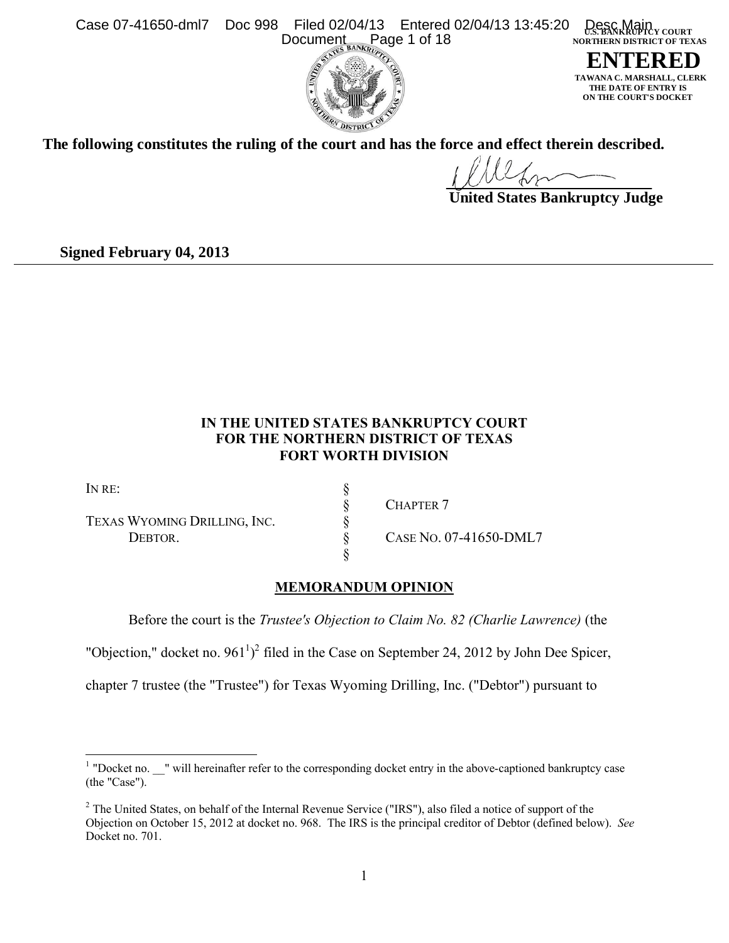Case 07-41650-dml7 Doc 998 Filed 02/04/13 Entered 02/04/13 13:45:20 Desc Main vourn  **NORTHERN DISTRICT OF TEXAS** Document Page 1 of 18



**ENTERED MARSHALL, CLERK THE DATE OF ENTRY IS ON THE COURT'S DOCKET**

**The following constitutes the ruling of the court and has the force and effect therein described.**

 **United States Bankruptcy Judge**

**Signed February 04, 2013**

 $\overline{a}$ 

# **IN THE UNITED STATES BANKRUPTCY COURT FOR THE NORTHERN DISTRICT OF TEXAS FORT WORTH DIVISION**

| IN RE:                       |                        |
|------------------------------|------------------------|
|                              | <b>CHAPTER 7</b>       |
| TEXAS WYOMING DRILLING, INC. |                        |
| DEBTOR.                      | CASE NO. 07-41650-DML7 |
|                              |                        |

# **MEMORANDUM OPINION**

Before the court is the *Trustee's Objection to Claim No. 82 (Charlie Lawrence)* (the

"Objection," docket no.  $961<sup>1</sup>$  $961<sup>1</sup>$  $961<sup>1</sup>$ <sup>[2](#page-0-1)</sup> filed in the Case on September 24, 2012 by John Dee Spicer,

chapter 7 trustee (the "Trustee") for Texas Wyoming Drilling, Inc. ("Debtor") pursuant to

<span id="page-0-0"></span> $1$  "Docket no.  $\blacksquare$ " will hereinafter refer to the corresponding docket entry in the above-captioned bankruptcy case (the "Case").

<span id="page-0-1"></span><sup>&</sup>lt;sup>2</sup> The United States, on behalf of the Internal Revenue Service ("IRS"), also filed a notice of support of the Objection on October 15, 2012 at docket no. 968. The IRS is the principal creditor of Debtor (defined below). *See* Docket no. 701.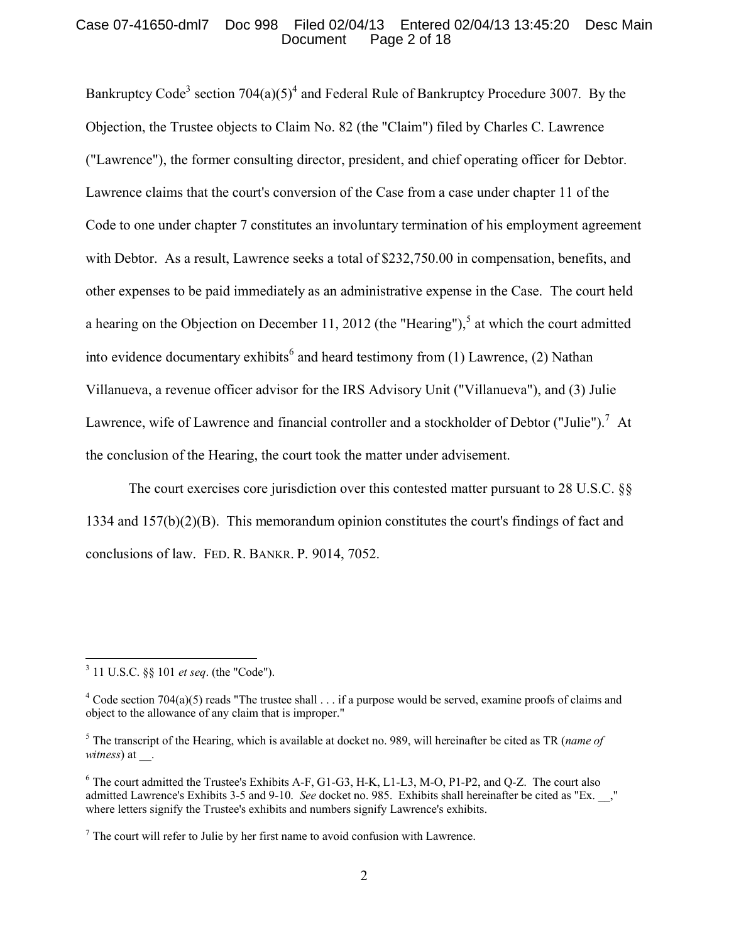### Case 07-41650-dml7 Doc 998 Filed 02/04/13 Entered 02/04/13 13:45:20 Desc Main Page 2 of 18

Bankruptcy Code<sup>[3](#page-1-0)</sup> section  $704(a)(5)^4$  $704(a)(5)^4$  $704(a)(5)^4$  and Federal Rule of Bankruptcy Procedure 3007. By the Objection, the Trustee objects to Claim No. 82 (the "Claim") filed by Charles C. Lawrence ("Lawrence"), the former consulting director, president, and chief operating officer for Debtor. Lawrence claims that the court's conversion of the Case from a case under chapter 11 of the Code to one under chapter 7 constitutes an involuntary termination of his employment agreement with Debtor. As a result, Lawrence seeks a total of \$232,750.00 in compensation, benefits, and other expenses to be paid immediately as an administrative expense in the Case. The court held a hearing on the Objection on December 11, 2012 (the "Hearing"),<sup>[5](#page-1-2)</sup> at which the court admitted into evidence documentary exhibits<sup>[6](#page-1-3)</sup> and heard testimony from (1) Lawrence, (2) Nathan Villanueva, a revenue officer advisor for the IRS Advisory Unit ("Villanueva"), and (3) Julie Lawrence, wife of Lawrence and financial controller and a stockholder of Debtor ("Julie").<sup>[7](#page-1-4)</sup> At the conclusion of the Hearing, the court took the matter under advisement.

The court exercises core jurisdiction over this contested matter pursuant to 28 U.S.C. §§ 1334 and 157(b)(2)(B). This memorandum opinion constitutes the court's findings of fact and conclusions of law. FED. R. BANKR. P. 9014, 7052.

<span id="page-1-0"></span><sup>3</sup> 11 U.S.C. §§ 101 *et seq*. (the "Code").

<span id="page-1-1"></span><sup>&</sup>lt;sup>4</sup> Code section 704(a)(5) reads "The trustee shall  $\ldots$  if a purpose would be served, examine proofs of claims and object to the allowance of any claim that is improper."

<span id="page-1-2"></span><sup>5</sup> The transcript of the Hearing, which is available at docket no. 989, will hereinafter be cited as TR (*name of witness*) at \_\_.

<span id="page-1-3"></span><sup>6</sup> The court admitted the Trustee's Exhibits A-F, G1-G3, H-K, L1-L3, M-O, P1-P2, and Q-Z. The court also admitted Lawrence's Exhibits 3-5 and 9-10. *See* docket no. 985. Exhibits shall hereinafter be cited as "Ex. \_\_," where letters signify the Trustee's exhibits and numbers signify Lawrence's exhibits.

<span id="page-1-4"></span> $<sup>7</sup>$  The court will refer to Julie by her first name to avoid confusion with Lawrence.</sup>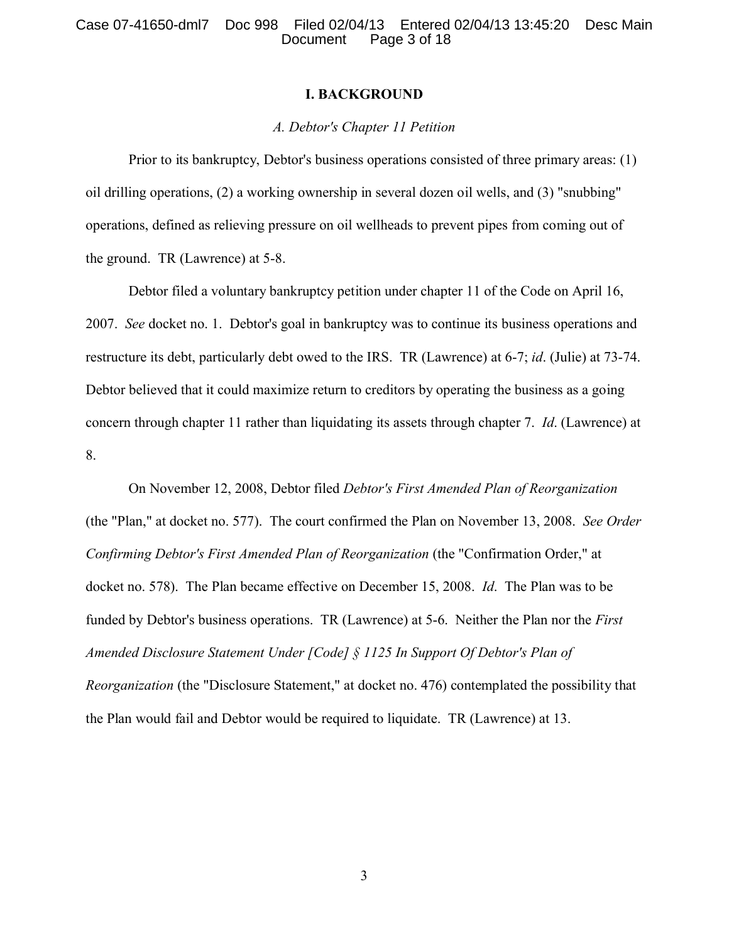### **I. BACKGROUND**

### *A. Debtor's Chapter 11 Petition*

Prior to its bankruptcy, Debtor's business operations consisted of three primary areas: (1) oil drilling operations, (2) a working ownership in several dozen oil wells, and (3) "snubbing" operations, defined as relieving pressure on oil wellheads to prevent pipes from coming out of the ground. TR (Lawrence) at 5-8.

Debtor filed a voluntary bankruptcy petition under chapter 11 of the Code on April 16, 2007. *See* docket no. 1. Debtor's goal in bankruptcy was to continue its business operations and restructure its debt, particularly debt owed to the IRS. TR (Lawrence) at 6-7; *id*. (Julie) at 73-74. Debtor believed that it could maximize return to creditors by operating the business as a going concern through chapter 11 rather than liquidating its assets through chapter 7. *Id*. (Lawrence) at 8.

On November 12, 2008, Debtor filed *Debtor's First Amended Plan of Reorganization* (the "Plan," at docket no. 577). The court confirmed the Plan on November 13, 2008. *See Order Confirming Debtor's First Amended Plan of Reorganization* (the "Confirmation Order," at docket no. 578). The Plan became effective on December 15, 2008. *Id*. The Plan was to be funded by Debtor's business operations. TR (Lawrence) at 5-6. Neither the Plan nor the *First Amended Disclosure Statement Under [Code] § 1125 In Support Of Debtor's Plan of Reorganization* (the "Disclosure Statement," at docket no. 476) contemplated the possibility that the Plan would fail and Debtor would be required to liquidate. TR (Lawrence) at 13.

3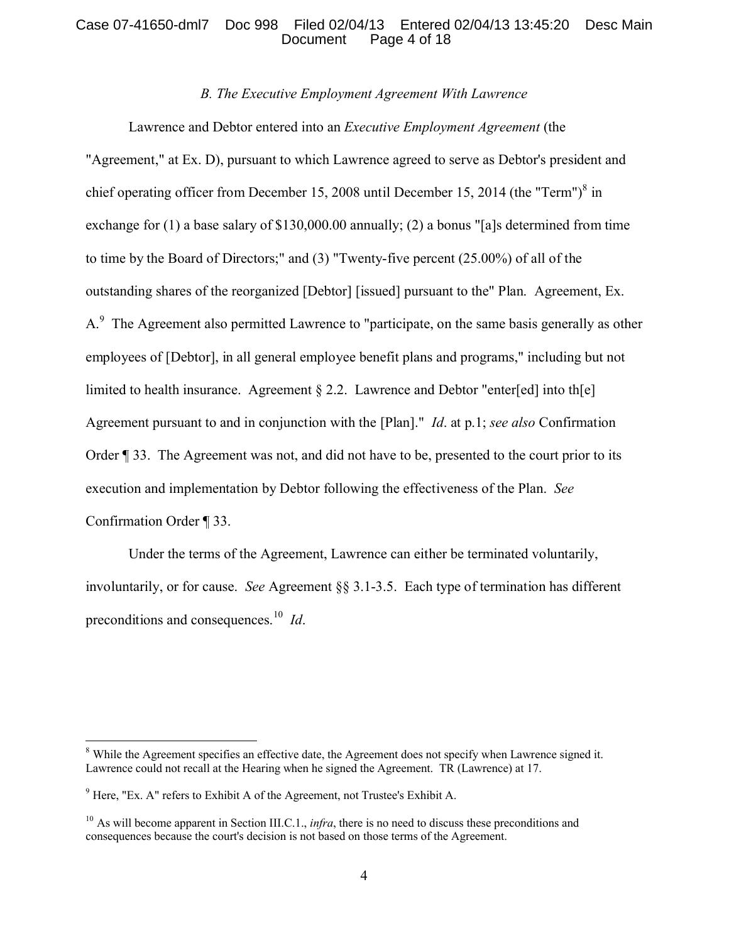### Case 07-41650-dml7 Doc 998 Filed 02/04/13 Entered 02/04/13 13:45:20 Desc Main Page 4 of 18

# *B. The Executive Employment Agreement With Lawrence*

Lawrence and Debtor entered into an *Executive Employment Agreement* (the "Agreement," at Ex. D), pursuant to which Lawrence agreed to serve as Debtor's president and chief operating officer from December 15, 200[8](#page-3-0) until December 15, 2014 (the "Term") $\delta$  in exchange for (1) a base salary of \$130,000.00 annually; (2) a bonus "[a]s determined from time to time by the Board of Directors;" and (3) "Twenty-five percent (25.00%) of all of the outstanding shares of the reorganized [Debtor] [issued] pursuant to the" Plan. Agreement, Ex. A.<sup>[9](#page-3-1)</sup> The Agreement also permitted Lawrence to "participate, on the same basis generally as other employees of [Debtor], in all general employee benefit plans and programs," including but not limited to health insurance. Agreement § 2.2. Lawrence and Debtor "enter[ed] into th[e] Agreement pursuant to and in conjunction with the [Plan]." *Id*. at p.1; *see also* Confirmation Order ¶ 33. The Agreement was not, and did not have to be, presented to the court prior to its execution and implementation by Debtor following the effectiveness of the Plan. *See* Confirmation Order ¶ 33.

Under the terms of the Agreement, Lawrence can either be terminated voluntarily, involuntarily, or for cause. *See* Agreement §§ 3.1-3.5. Each type of termination has different preconditions and consequences. [10](#page-3-2) *Id*.

<span id="page-3-0"></span><sup>8</sup> While the Agreement specifies an effective date, the Agreement does not specify when Lawrence signed it. Lawrence could not recall at the Hearing when he signed the Agreement. TR (Lawrence) at 17.

<span id="page-3-1"></span> $9$  Here, "Ex. A" refers to Exhibit A of the Agreement, not Trustee's Exhibit A.

<span id="page-3-2"></span><sup>&</sup>lt;sup>10</sup> As will become apparent in Section III.C.1., *infra*, there is no need to discuss these preconditions and consequences because the court's decision is not based on those terms of the Agreement.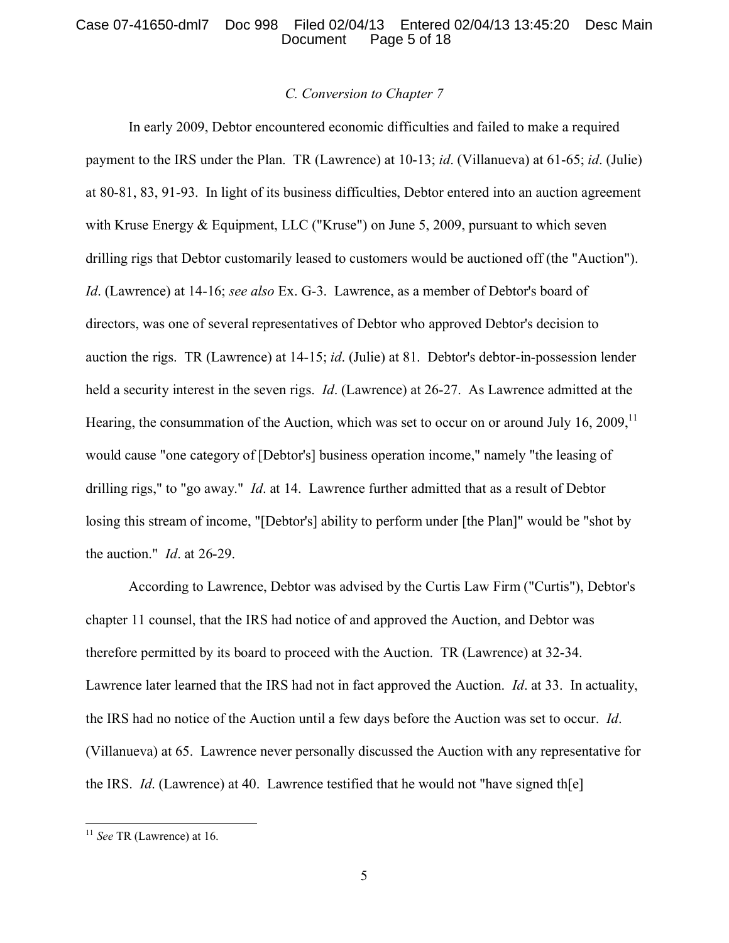### Case 07-41650-dml7 Doc 998 Filed 02/04/13 Entered 02/04/13 13:45:20 Desc Main Page 5 of 18

### *C. Conversion to Chapter 7*

In early 2009, Debtor encountered economic difficulties and failed to make a required payment to the IRS under the Plan. TR (Lawrence) at 10-13; *id*. (Villanueva) at 61-65; *id*. (Julie) at 80-81, 83, 91-93. In light of its business difficulties, Debtor entered into an auction agreement with Kruse Energy & Equipment, LLC ("Kruse") on June 5, 2009, pursuant to which seven drilling rigs that Debtor customarily leased to customers would be auctioned off (the "Auction"). *Id*. (Lawrence) at 14-16; *see also* Ex. G-3. Lawrence, as a member of Debtor's board of directors, was one of several representatives of Debtor who approved Debtor's decision to auction the rigs. TR (Lawrence) at 14-15; *id*. (Julie) at 81. Debtor's debtor-in-possession lender held a security interest in the seven rigs. *Id*. (Lawrence) at 26-27. As Lawrence admitted at the Hearing, the consummation of the Auction, which was set to occur on or around July 16, 2009,  $^{11}$  $^{11}$  $^{11}$ would cause "one category of [Debtor's] business operation income," namely "the leasing of drilling rigs," to "go away." *Id*. at 14. Lawrence further admitted that as a result of Debtor losing this stream of income, "[Debtor's] ability to perform under [the Plan]" would be "shot by the auction." *Id*. at 26-29.

According to Lawrence, Debtor was advised by the Curtis Law Firm ("Curtis"), Debtor's chapter 11 counsel, that the IRS had notice of and approved the Auction, and Debtor was therefore permitted by its board to proceed with the Auction. TR (Lawrence) at 32-34. Lawrence later learned that the IRS had not in fact approved the Auction. *Id*. at 33. In actuality, the IRS had no notice of the Auction until a few days before the Auction was set to occur. *Id*. (Villanueva) at 65. Lawrence never personally discussed the Auction with any representative for the IRS. *Id*. (Lawrence) at 40. Lawrence testified that he would not "have signed th[e]

<span id="page-4-0"></span><sup>11</sup> *See* TR (Lawrence) at 16.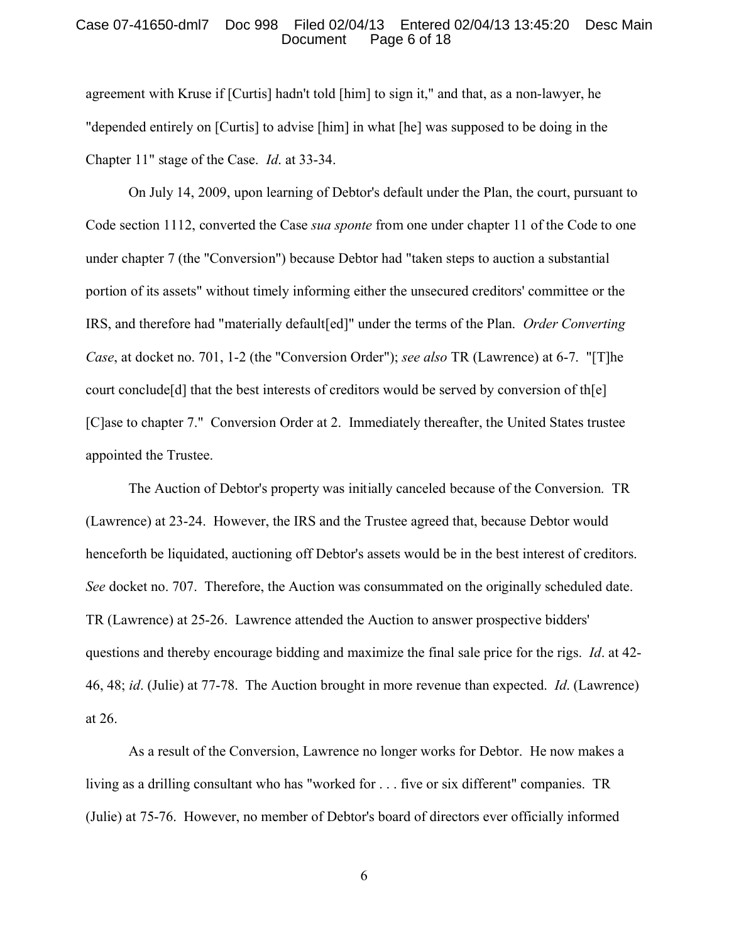### Case 07-41650-dml7 Doc 998 Filed 02/04/13 Entered 02/04/13 13:45:20 Desc Main Page 6 of 18

agreement with Kruse if [Curtis] hadn't told [him] to sign it," and that, as a non-lawyer, he "depended entirely on [Curtis] to advise [him] in what [he] was supposed to be doing in the Chapter 11" stage of the Case. *Id*. at 33-34.

On July 14, 2009, upon learning of Debtor's default under the Plan, the court, pursuant to Code section 1112, converted the Case *sua sponte* from one under chapter 11 of the Code to one under chapter 7 (the "Conversion") because Debtor had "taken steps to auction a substantial portion of its assets" without timely informing either the unsecured creditors' committee or the IRS, and therefore had "materially default[ed]" under the terms of the Plan. *Order Converting Case*, at docket no. 701, 1-2 (the "Conversion Order"); *see also* TR (Lawrence) at 6-7. "[T]he court conclude [d] that the best interests of creditors would be served by conversion of the  $\epsilon$ ] [C]ase to chapter 7." Conversion Order at 2. Immediately thereafter, the United States trustee appointed the Trustee.

The Auction of Debtor's property was initially canceled because of the Conversion. TR (Lawrence) at 23-24. However, the IRS and the Trustee agreed that, because Debtor would henceforth be liquidated, auctioning off Debtor's assets would be in the best interest of creditors. *See* docket no. 707. Therefore, the Auction was consummated on the originally scheduled date. TR (Lawrence) at 25-26. Lawrence attended the Auction to answer prospective bidders' questions and thereby encourage bidding and maximize the final sale price for the rigs. *Id*. at 42- 46, 48; *id*. (Julie) at 77-78. The Auction brought in more revenue than expected. *Id*. (Lawrence) at 26.

As a result of the Conversion, Lawrence no longer works for Debtor. He now makes a living as a drilling consultant who has "worked for . . . five or six different" companies. TR (Julie) at 75-76. However, no member of Debtor's board of directors ever officially informed

6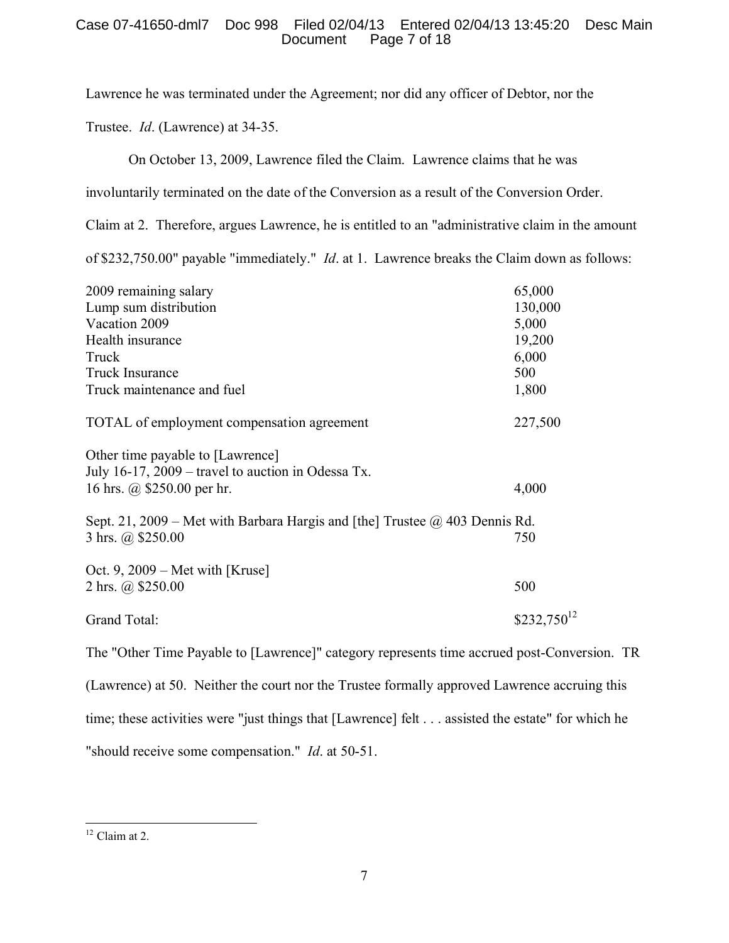# Case 07-41650-dml7 Doc 998 Filed 02/04/13 Entered 02/04/13 13:45:20 Desc Main Page 7 of 18

Lawrence he was terminated under the Agreement; nor did any officer of Debtor, nor the

Trustee. *Id*. (Lawrence) at 34-35.

On October 13, 2009, Lawrence filed the Claim. Lawrence claims that he was

involuntarily terminated on the date of the Conversion as a result of the Conversion Order.

Claim at 2. Therefore, argues Lawrence, he is entitled to an "administrative claim in the amount

of \$232,750.00" payable "immediately." *Id*. at 1. Lawrence breaks the Claim down as follows:

| 2009 remaining salary                                                                                       | 65,000          |
|-------------------------------------------------------------------------------------------------------------|-----------------|
| Lump sum distribution                                                                                       | 130,000         |
| Vacation 2009                                                                                               | 5,000           |
| Health insurance                                                                                            | 19,200          |
| Truck                                                                                                       | 6,000           |
| <b>Truck Insurance</b>                                                                                      | 500             |
| Truck maintenance and fuel                                                                                  | 1,800           |
| TOTAL of employment compensation agreement                                                                  | 227,500         |
| Other time payable to [Lawrence]                                                                            |                 |
| July 16-17, 2009 – travel to auction in Odessa Tx.                                                          |                 |
| 16 hrs. @ \$250.00 per hr.                                                                                  | 4,000           |
|                                                                                                             |                 |
| Sept. 21, 2009 – Met with Barbara Hargis and [the] Trustee $\omega$ 403 Dennis Rd.<br>3 hrs. $(a)$ \$250.00 | 750             |
|                                                                                                             |                 |
| Oct. 9, $2009$ – Met with [Kruse]                                                                           |                 |
| 2 hrs. @ \$250.00                                                                                           | 500             |
|                                                                                                             |                 |
| Grand Total:                                                                                                | $$232,750^{12}$ |
|                                                                                                             |                 |

The "Other Time Payable to [Lawrence]" category represents time accrued post-Conversion. TR (Lawrence) at 50. Neither the court nor the Trustee formally approved Lawrence accruing this time; these activities were "just things that [Lawrence] felt . . . assisted the estate" for which he "should receive some compensation." *Id*. at 50-51.

<span id="page-6-0"></span> $12$  Claim at 2.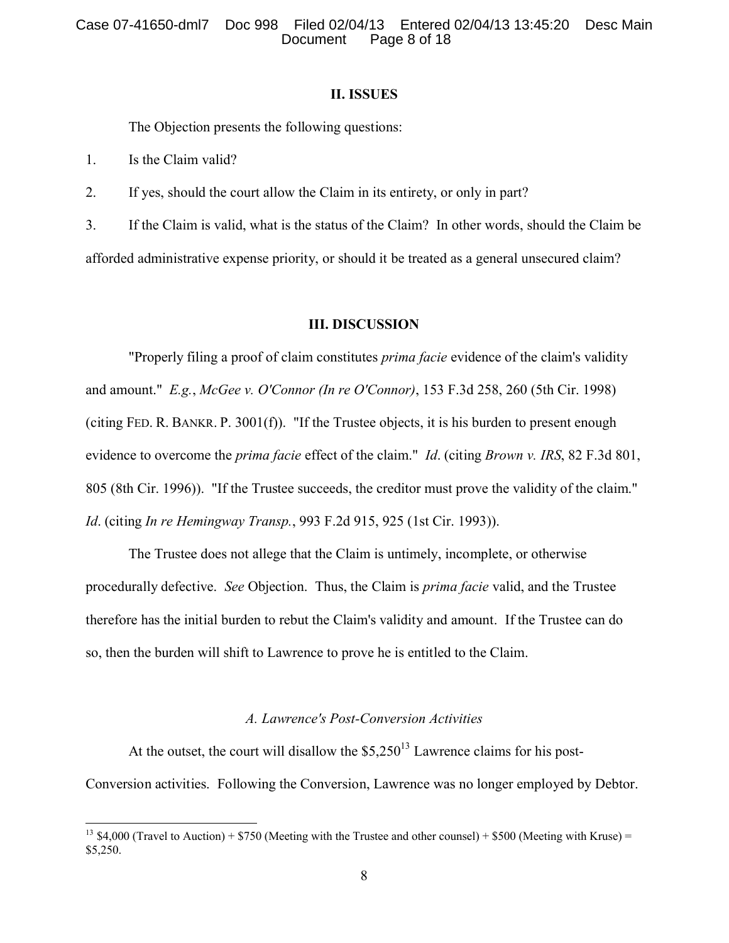### Case 07-41650-dml7 Doc 998 Filed 02/04/13 Entered 02/04/13 13:45:20 Desc Main Page 8 of 18

#### **II. ISSUES**

The Objection presents the following questions:

1. Is the Claim valid?

 $\overline{a}$ 

2. If yes, should the court allow the Claim in its entirety, or only in part?

3. If the Claim is valid, what is the status of the Claim? In other words, should the Claim be afforded administrative expense priority, or should it be treated as a general unsecured claim?

#### **III. DISCUSSION**

"Properly filing a proof of claim constitutes *prima facie* evidence of the claim's validity and amount." *E.g.*, *McGee v. O'Connor (In re O'Connor)*, 153 F.3d 258, 260 (5th Cir. 1998) (citing FED. R. BANKR. P. 3001(f)). "If the Trustee objects, it is his burden to present enough evidence to overcome the *prima facie* effect of the claim." *Id*. (citing *Brown v. IRS*, 82 F.3d 801, 805 (8th Cir. 1996)). "If the Trustee succeeds, the creditor must prove the validity of the claim." *Id*. (citing *In re Hemingway Transp.*, 993 F.2d 915, 925 (1st Cir. 1993)).

The Trustee does not allege that the Claim is untimely, incomplete, or otherwise procedurally defective. *See* Objection. Thus, the Claim is *prima facie* valid, and the Trustee therefore has the initial burden to rebut the Claim's validity and amount. If the Trustee can do so, then the burden will shift to Lawrence to prove he is entitled to the Claim.

### *A. Lawrence's Post-Conversion Activities*

At the outset, the court will disallow the  $$5,250^{13}$  $$5,250^{13}$  $$5,250^{13}$  Lawrence claims for his post-Conversion activities. Following the Conversion, Lawrence was no longer employed by Debtor.

<span id="page-7-0"></span><sup>&</sup>lt;sup>13</sup> \$4,000 (Travel to Auction) + \$750 (Meeting with the Trustee and other counsel) + \$500 (Meeting with Kruse) = \$5,250.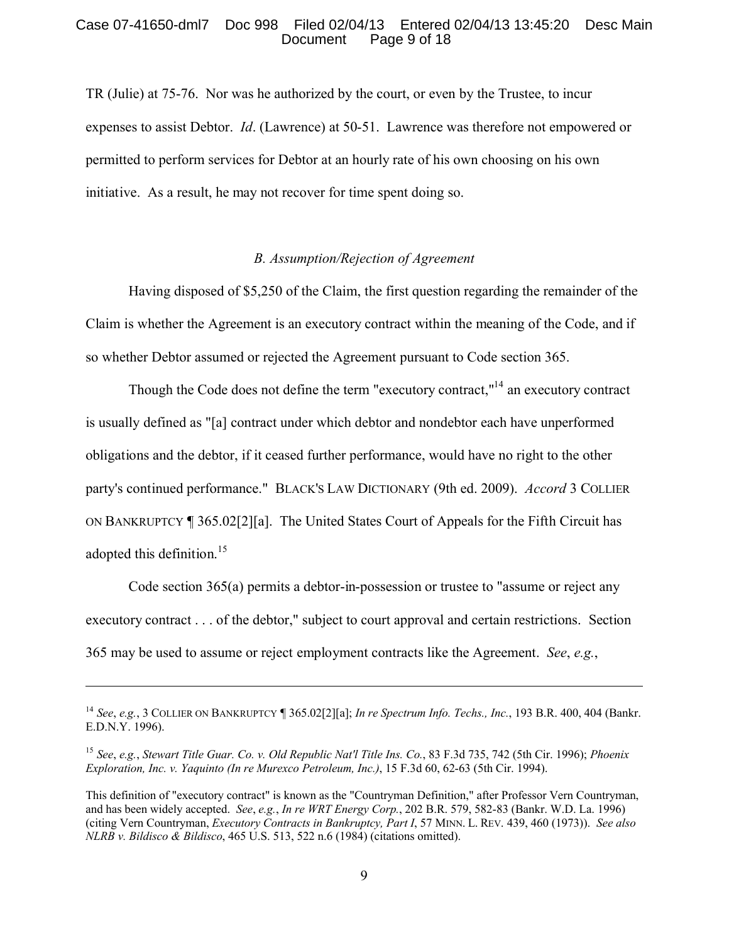### Case 07-41650-dml7 Doc 998 Filed 02/04/13 Entered 02/04/13 13:45:20 Desc Main Page 9 of 18

TR (Julie) at 75-76. Nor was he authorized by the court, or even by the Trustee, to incur expenses to assist Debtor. *Id*. (Lawrence) at 50-51. Lawrence was therefore not empowered or permitted to perform services for Debtor at an hourly rate of his own choosing on his own initiative. As a result, he may not recover for time spent doing so.

### *B. Assumption/Rejection of Agreement*

Having disposed of \$5,250 of the Claim, the first question regarding the remainder of the Claim is whether the Agreement is an executory contract within the meaning of the Code, and if so whether Debtor assumed or rejected the Agreement pursuant to Code section 365.

Though the Code does not define the term "executory contract,"<sup>[14](#page-8-0)</sup> an executory contract is usually defined as "[a] contract under which debtor and nondebtor each have unperformed obligations and the debtor, if it ceased further performance, would have no right to the other party's continued performance." BLACK'S LAW DICTIONARY (9th ed. 2009). *Accord* 3 COLLIER ON BANKRUPTCY ¶ 365.02[2][a]. The United States Court of Appeals for the Fifth Circuit has adopted this definition.<sup>[15](#page-8-1)</sup>

Code section 365(a) permits a debtor-in-possession or trustee to "assume or reject any executory contract . . . of the debtor," subject to court approval and certain restrictions. Section 365 may be used to assume or reject employment contracts like the Agreement. *See*, *e.g.*,

<span id="page-8-0"></span><sup>14</sup> *See*, *e.g.*, 3 COLLIER ON BANKRUPTCY ¶ 365.02[2][a]; *In re Spectrum Info. Techs., Inc.*, 193 B.R. 400, 404 (Bankr. E.D.N.Y. 1996).

<span id="page-8-1"></span><sup>15</sup> *See*, *e.g.*, *Stewart Title Guar. Co. v. Old Republic Nat'l Title Ins. Co.*, 83 F.3d 735, 742 (5th Cir. 1996); *Phoenix Exploration, Inc. v. Yaquinto (In re Murexco Petroleum, Inc.)*, 15 F.3d 60, 62-63 (5th Cir. 1994).

This definition of "executory contract" is known as the "Countryman Definition," after Professor Vern Countryman, and has been widely accepted. *See*, *e.g.*, *In re WRT Energy Corp.*, 202 B.R. 579, 582-83 (Bankr. W.D. La. 1996) (citing Vern Countryman, *Executory Contracts in Bankruptcy, Part I*, 57 MINN. L. REV. 439, 460 (1973)). *See also NLRB v. Bildisco & Bildisco*, 465 U.S. 513, 522 n.6 (1984) (citations omitted).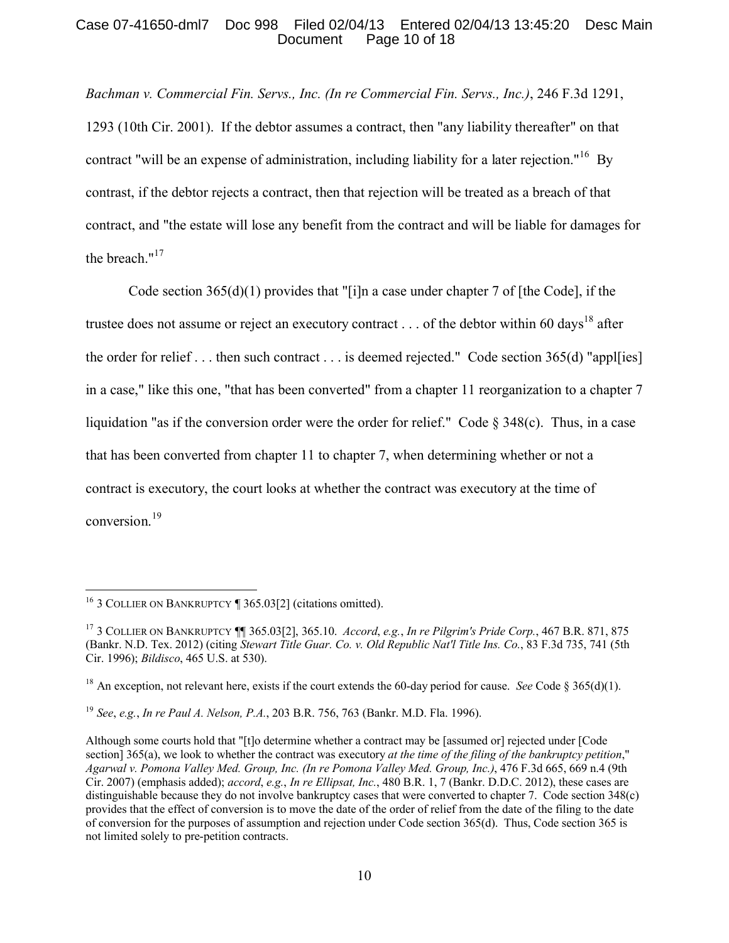### Case 07-41650-dml7 Doc 998 Filed 02/04/13 Entered 02/04/13 13:45:20 Desc Main Page 10 of 18

*Bachman v. Commercial Fin. Servs., Inc. (In re Commercial Fin. Servs., Inc.)*, 246 F.3d 1291, 1293 (10th Cir. 2001). If the debtor assumes a contract, then "any liability thereafter" on that contract "will be an expense of administration, including liability for a later rejection."<sup>[16](#page-9-0)</sup> By contrast, if the debtor rejects a contract, then that rejection will be treated as a breach of that contract, and "the estate will lose any benefit from the contract and will be liable for damages for the breach."<sup>[17](#page-9-1)</sup>

Code section 365(d)(1) provides that "[i]n a case under chapter 7 of [the Code], if the trustee does not assume or reject an executory contract . . . of the debtor within 60 days<sup>[18](#page-9-2)</sup> after the order for relief . . . then such contract . . . is deemed rejected." Code section 365(d) "appl[ies] in a case," like this one, "that has been converted" from a chapter 11 reorganization to a chapter 7 liquidation "as if the conversion order were the order for relief." Code § 348(c). Thus, in a case that has been converted from chapter 11 to chapter 7, when determining whether or not a contract is executory, the court looks at whether the contract was executory at the time of conversion. [19](#page-9-3)

<span id="page-9-0"></span><sup>&</sup>lt;sup>16</sup> 3 COLLIER ON BANKRUPTCY  $\P$  365.03[2] (citations omitted).

<span id="page-9-1"></span><sup>17</sup> 3 COLLIER ON BANKRUPTCY ¶¶ 365.03[2], 365.10. *Accord*, *e.g.*, *In re Pilgrim's Pride Corp.*, 467 B.R. 871, 875 (Bankr. N.D. Tex. 2012) (citing *Stewart Title Guar. Co. v. Old Republic Nat'l Title Ins. Co.*, 83 F.3d 735, 741 (5th Cir. 1996); *Bildisco*, 465 U.S. at 530).

<span id="page-9-2"></span><sup>&</sup>lt;sup>18</sup> An exception, not relevant here, exists if the court extends the 60-day period for cause. *See* Code  $\S 365(d)(1)$ .

<span id="page-9-3"></span><sup>19</sup> *See*, *e.g.*, *In re Paul A. Nelson, P.A.*, 203 B.R. 756, 763 (Bankr. M.D. Fla. 1996).

Although some courts hold that "[t]o determine whether a contract may be [assumed or] rejected under [Code section] 365(a), we look to whether the contract was executory *at the time of the filing of the bankruptcy petition*," *Agarwal v. Pomona Valley Med. Group, Inc. (In re Pomona Valley Med. Group, Inc.)*, 476 F.3d 665, 669 n.4 (9th Cir. 2007) (emphasis added); *accord*, *e.g.*, *In re Ellipsat, Inc.*, 480 B.R. 1, 7 (Bankr. D.D.C. 2012), these cases are distinguishable because they do not involve bankruptcy cases that were converted to chapter 7. Code section 348(c) provides that the effect of conversion is to move the date of the order of relief from the date of the filing to the date of conversion for the purposes of assumption and rejection under Code section 365(d). Thus, Code section 365 is not limited solely to pre-petition contracts.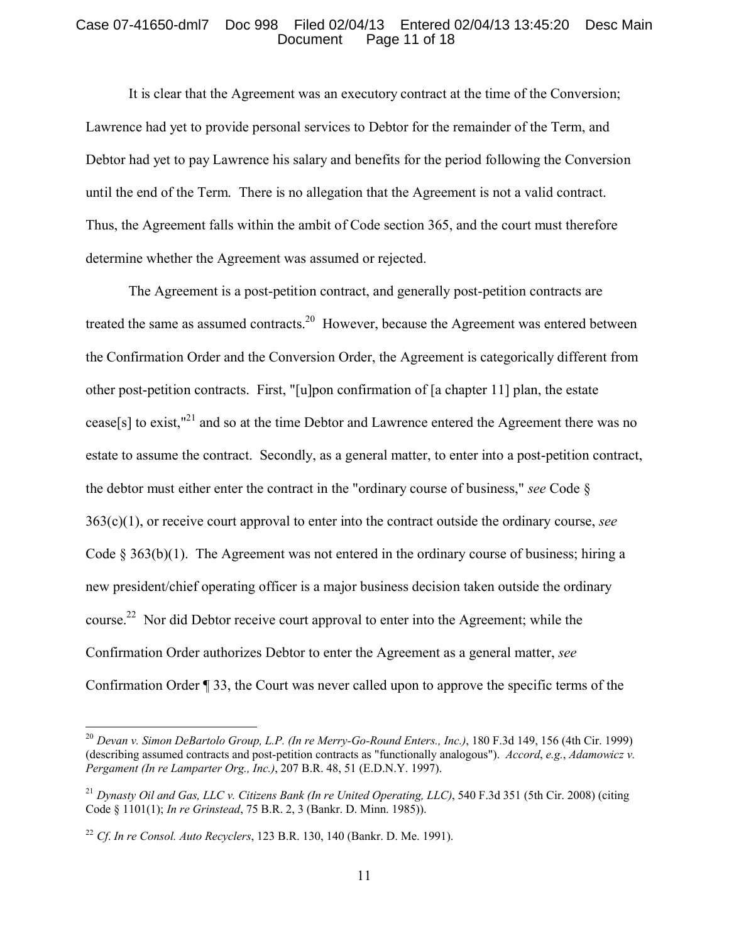### Case 07-41650-dml7 Doc 998 Filed 02/04/13 Entered 02/04/13 13:45:20 Desc Main Page 11 of 18

It is clear that the Agreement was an executory contract at the time of the Conversion; Lawrence had yet to provide personal services to Debtor for the remainder of the Term, and Debtor had yet to pay Lawrence his salary and benefits for the period following the Conversion until the end of the Term. There is no allegation that the Agreement is not a valid contract. Thus, the Agreement falls within the ambit of Code section 365, and the court must therefore determine whether the Agreement was assumed or rejected.

The Agreement is a post-petition contract, and generally post-petition contracts are treated the same as assumed contracts.<sup>[20](#page-10-0)</sup> However, because the Agreement was entered between the Confirmation Order and the Conversion Order, the Agreement is categorically different from other post-petition contracts. First, "[u]pon confirmation of [a chapter 11] plan, the estate cease[s] to exist,"[21](#page-10-1) and so at the time Debtor and Lawrence entered the Agreement there was no estate to assume the contract. Secondly, as a general matter, to enter into a post-petition contract, the debtor must either enter the contract in the "ordinary course of business," *see* Code § 363(c)(1), or receive court approval to enter into the contract outside the ordinary course, *see*  Code  $\S 363(b)(1)$ . The Agreement was not entered in the ordinary course of business; hiring a new president/chief operating officer is a major business decision taken outside the ordinary course.<sup>[22](#page-10-2)</sup> Nor did Debtor receive court approval to enter into the Agreement; while the Confirmation Order authorizes Debtor to enter the Agreement as a general matter, *see*  Confirmation Order ¶ 33, the Court was never called upon to approve the specific terms of the

<span id="page-10-0"></span><sup>20</sup> *Devan v. Simon DeBartolo Group, L.P. (In re Merry-Go-Round Enters., Inc.)*, 180 F.3d 149, 156 (4th Cir. 1999) (describing assumed contracts and post-petition contracts as "functionally analogous"). *Accord*, *e.g.*, *Adamowicz v. Pergament (In re Lamparter Org., Inc.)*, 207 B.R. 48, 51 (E.D.N.Y. 1997).

<span id="page-10-1"></span><sup>21</sup> *Dynasty Oil and Gas, LLC v. Citizens Bank (In re United Operating, LLC)*, 540 F.3d 351 (5th Cir. 2008) (citing Code § 1101(1); *In re Grinstead*, 75 B.R. 2, 3 (Bankr. D. Minn. 1985)).

<span id="page-10-2"></span><sup>22</sup> *Cf*. *In re Consol. Auto Recyclers*, 123 B.R. 130, 140 (Bankr. D. Me. 1991).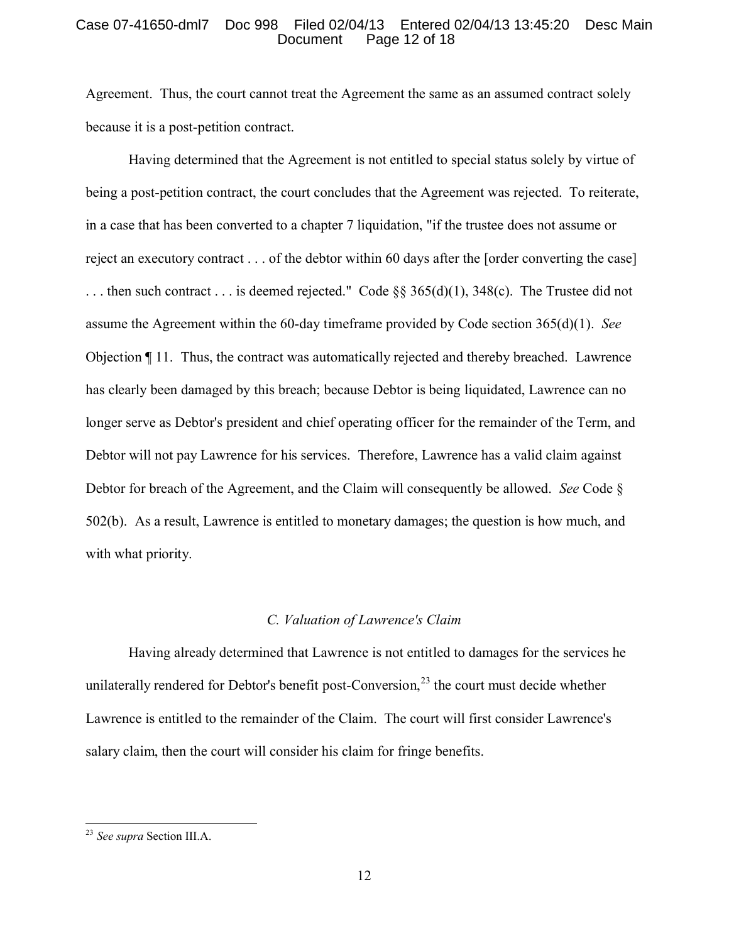### Case 07-41650-dml7 Doc 998 Filed 02/04/13 Entered 02/04/13 13:45:20 Desc Main Page 12 of 18

Agreement. Thus, the court cannot treat the Agreement the same as an assumed contract solely because it is a post-petition contract.

Having determined that the Agreement is not entitled to special status solely by virtue of being a post-petition contract, the court concludes that the Agreement was rejected. To reiterate, in a case that has been converted to a chapter 7 liquidation, "if the trustee does not assume or reject an executory contract . . . of the debtor within 60 days after the [order converting the case] ... then such contract ... is deemed rejected." Code  $\S$ § 365(d)(1), 348(c). The Trustee did not assume the Agreement within the 60-day timeframe provided by Code section 365(d)(1). *See* Objection ¶ 11. Thus, the contract was automatically rejected and thereby breached. Lawrence has clearly been damaged by this breach; because Debtor is being liquidated, Lawrence can no longer serve as Debtor's president and chief operating officer for the remainder of the Term, and Debtor will not pay Lawrence for his services. Therefore, Lawrence has a valid claim against Debtor for breach of the Agreement, and the Claim will consequently be allowed. *See* Code § 502(b). As a result, Lawrence is entitled to monetary damages; the question is how much, and with what priority.

#### *C. Valuation of Lawrence's Claim*

Having already determined that Lawrence is not entitled to damages for the services he unilaterally rendered for Debtor's benefit post-Conversion, $^{23}$  $^{23}$  $^{23}$  the court must decide whether Lawrence is entitled to the remainder of the Claim. The court will first consider Lawrence's salary claim, then the court will consider his claim for fringe benefits.

<span id="page-11-0"></span><sup>23</sup> *See supra* Section III.A.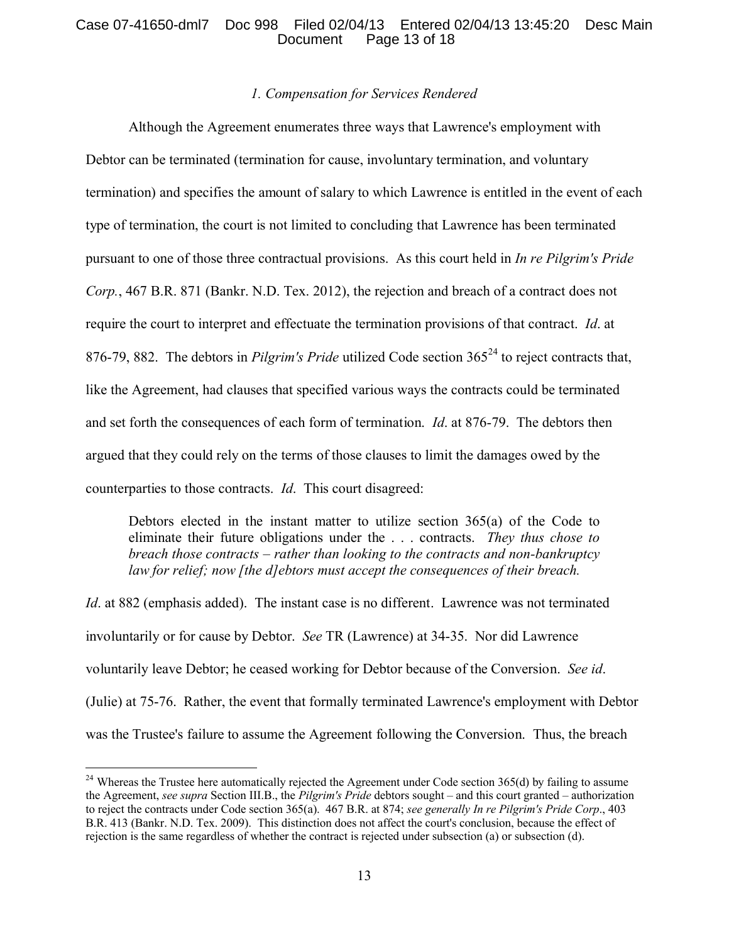# Case 07-41650-dml7 Doc 998 Filed 02/04/13 Entered 02/04/13 13:45:20 Desc Main Page 13 of 18

### *1. Compensation for Services Rendered*

Although the Agreement enumerates three ways that Lawrence's employment with Debtor can be terminated (termination for cause, involuntary termination, and voluntary termination) and specifies the amount of salary to which Lawrence is entitled in the event of each type of termination, the court is not limited to concluding that Lawrence has been terminated pursuant to one of those three contractual provisions. As this court held in *In re Pilgrim's Pride Corp.*, 467 B.R. 871 (Bankr. N.D. Tex. 2012), the rejection and breach of a contract does not require the court to interpret and effectuate the termination provisions of that contract. *Id*. at 876-79, 882. The debtors in *Pilgrim's Pride* utilized Code section 365<sup>[24](#page-12-0)</sup> to reject contracts that, like the Agreement, had clauses that specified various ways the contracts could be terminated and set forth the consequences of each form of termination. *Id*. at 876-79. The debtors then argued that they could rely on the terms of those clauses to limit the damages owed by the counterparties to those contracts. *Id*. This court disagreed:

Debtors elected in the instant matter to utilize section 365(a) of the Code to eliminate their future obligations under the . . . contracts. *They thus chose to breach those contracts – rather than looking to the contracts and non-bankruptcy law for relief; now [the d]ebtors must accept the consequences of their breach.* 

*Id.* at 882 (emphasis added). The instant case is no different. Lawrence was not terminated involuntarily or for cause by Debtor. *See* TR (Lawrence) at 34-35. Nor did Lawrence voluntarily leave Debtor; he ceased working for Debtor because of the Conversion. *See id*. (Julie) at 75-76. Rather, the event that formally terminated Lawrence's employment with Debtor was the Trustee's failure to assume the Agreement following the Conversion. Thus, the breach

<span id="page-12-0"></span> $^{24}$  Whereas the Trustee here automatically rejected the Agreement under Code section 365(d) by failing to assume the Agreement, *see supra* Section III.B., the *Pilgrim's Pride* debtors sought – and this court granted – authorization to reject the contracts under Code section 365(a). 467 B.R. at 874; *see generally In re Pilgrim's Pride Corp*., 403 B.R. 413 (Bankr. N.D. Tex. 2009). This distinction does not affect the court's conclusion, because the effect of rejection is the same regardless of whether the contract is rejected under subsection (a) or subsection (d).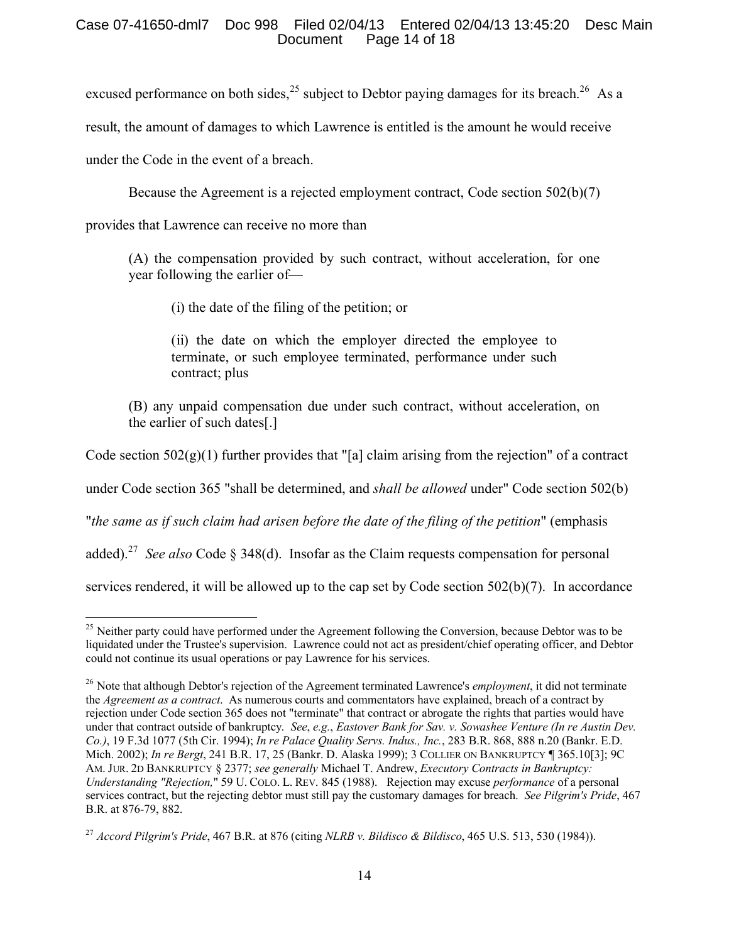# Case 07-41650-dml7 Doc 998 Filed 02/04/13 Entered 02/04/13 13:45:20 Desc Main Page 14 of  $18$

excused performance on both sides,  $^{25}$  $^{25}$  $^{25}$  subject to Debtor paying damages for its breach.<sup>[26](#page-13-1)</sup> As a

result, the amount of damages to which Lawrence is entitled is the amount he would receive

under the Code in the event of a breach.

Because the Agreement is a rejected employment contract, Code section 502(b)(7)

provides that Lawrence can receive no more than

(A) the compensation provided by such contract, without acceleration, for one year following the earlier of—

(i) the date of the filing of the petition; or

(ii) the date on which the employer directed the employee to terminate, or such employee terminated, performance under such contract; plus

(B) any unpaid compensation due under such contract, without acceleration, on the earlier of such dates[.]

Code section  $502(g)(1)$  further provides that "[a] claim arising from the rejection" of a contract

under Code section 365 "shall be determined, and *shall be allowed* under" Code section 502(b)

"*the same as if such claim had arisen before the date of the filing of the petition*" (emphasis

added).<sup>[27](#page-13-2)</sup> See also Code § 348(d). Insofar as the Claim requests compensation for personal

services rendered, it will be allowed up to the cap set by Code section 502(b)(7). In accordance

<span id="page-13-0"></span> $\overline{a}$ <sup>25</sup> Neither party could have performed under the Agreement following the Conversion, because Debtor was to be liquidated under the Trustee's supervision. Lawrence could not act as president/chief operating officer, and Debtor could not continue its usual operations or pay Lawrence for his services.

<span id="page-13-1"></span><sup>26</sup> Note that although Debtor's rejection of the Agreement terminated Lawrence's *employment*, it did not terminate the *Agreement as a contract*. As numerous courts and commentators have explained, breach of a contract by rejection under Code section 365 does not "terminate" that contract or abrogate the rights that parties would have under that contract outside of bankruptcy. *See*, *e.g.*, *Eastover Bank for Sav. v. Sowashee Venture (In re Austin Dev. Co.)*, 19 F.3d 1077 (5th Cir. 1994); *In re Palace Quality Servs. Indus., Inc.*, 283 B.R. 868, 888 n.20 (Bankr. E.D. Mich. 2002); *In re Bergt*, 241 B.R. 17, 25 (Bankr. D. Alaska 1999); 3 COLLIER ON BANKRUPTCY ¶ 365.10[3]; 9C AM. JUR. 2D BANKRUPTCY § 2377; *see generally* Michael T. Andrew, *Executory Contracts in Bankruptcy: Understanding "Rejection,*" 59 U. COLO. L. REV. 845 (1988). Rejection may excuse *performance* of a personal services contract, but the rejecting debtor must still pay the customary damages for breach. *See Pilgrim's Pride*, 467 B.R. at 876-79, 882.

<span id="page-13-2"></span><sup>27</sup> *Accord Pilgrim's Pride*, 467 B.R. at 876 (citing *NLRB v. Bildisco & Bildisco*, 465 U.S. 513, 530 (1984)).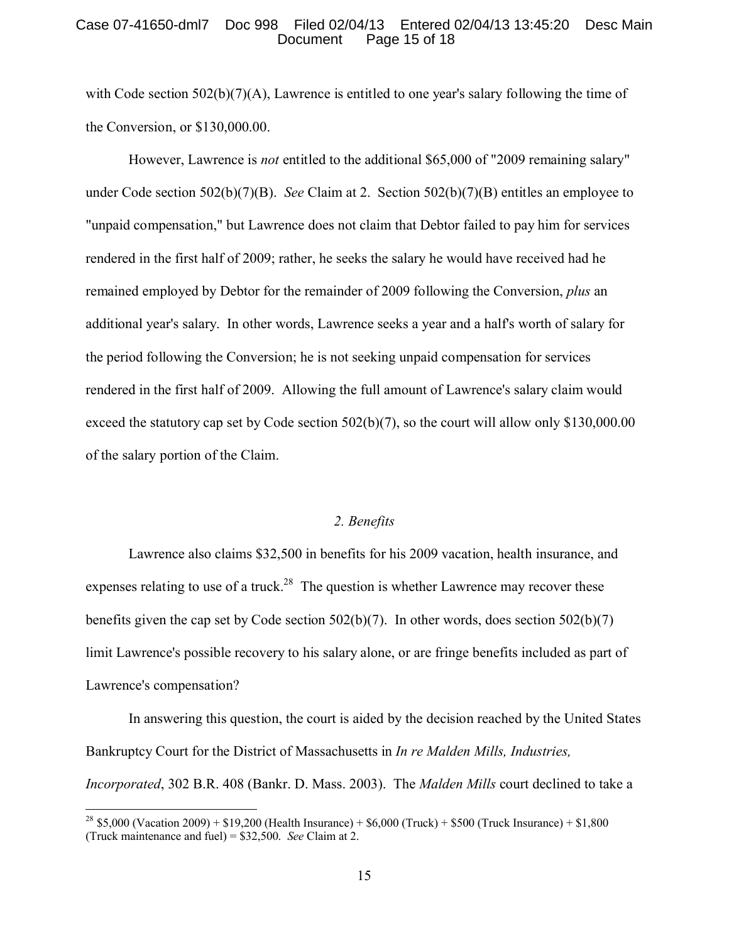### Case 07-41650-dml7 Doc 998 Filed 02/04/13 Entered 02/04/13 13:45:20 Desc Main Page 15 of 18

with Code section  $502(b)(7)(A)$ , Lawrence is entitled to one year's salary following the time of the Conversion, or \$130,000.00.

However, Lawrence is *not* entitled to the additional \$65,000 of "2009 remaining salary" under Code section 502(b)(7)(B). *See* Claim at 2. Section 502(b)(7)(B) entitles an employee to "unpaid compensation," but Lawrence does not claim that Debtor failed to pay him for services rendered in the first half of 2009; rather, he seeks the salary he would have received had he remained employed by Debtor for the remainder of 2009 following the Conversion, *plus* an additional year's salary. In other words, Lawrence seeks a year and a half's worth of salary for the period following the Conversion; he is not seeking unpaid compensation for services rendered in the first half of 2009. Allowing the full amount of Lawrence's salary claim would exceed the statutory cap set by Code section 502(b)(7), so the court will allow only \$130,000.00 of the salary portion of the Claim.

### *2. Benefits*

Lawrence also claims \$32,500 in benefits for his 2009 vacation, health insurance, and expenses relating to use of a truck.<sup>[28](#page-14-0)</sup> The question is whether Lawrence may recover these benefits given the cap set by Code section 502(b)(7). In other words, does section 502(b)(7) limit Lawrence's possible recovery to his salary alone, or are fringe benefits included as part of Lawrence's compensation?

In answering this question, the court is aided by the decision reached by the United States Bankruptcy Court for the District of Massachusetts in *In re Malden Mills, Industries, Incorporated*, 302 B.R. 408 (Bankr. D. Mass. 2003). The *Malden Mills* court declined to take a

<span id="page-14-0"></span><sup>&</sup>lt;sup>28</sup> \$5,000 (Vacation 2009) + \$19,200 (Health Insurance) + \$6,000 (Truck) + \$500 (Truck Insurance) + \$1,800 (Truck maintenance and fuel) = \$32,500. *See* Claim at 2.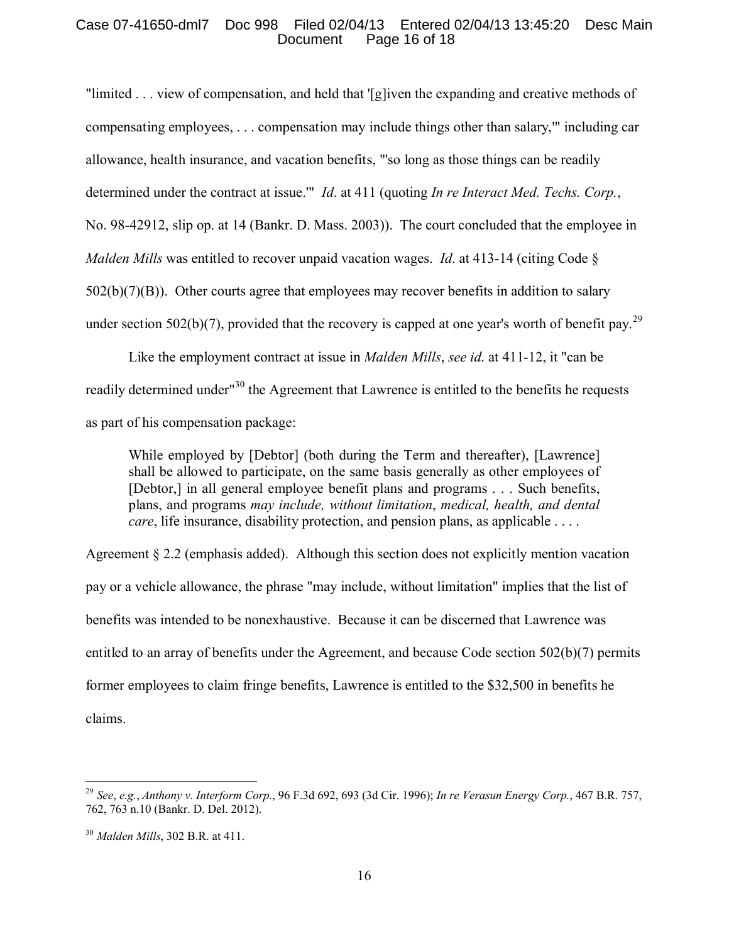### Case 07-41650-dml7 Doc 998 Filed 02/04/13 Entered 02/04/13 13:45:20 Desc Main Page 16 of 18

"limited . . . view of compensation, and held that '[g]iven the expanding and creative methods of compensating employees, . . . compensation may include things other than salary,'" including car allowance, health insurance, and vacation benefits, "'so long as those things can be readily determined under the contract at issue.'" *Id*. at 411 (quoting *In re Interact Med. Techs. Corp.*, No. 98-42912, slip op. at 14 (Bankr. D. Mass. 2003)). The court concluded that the employee in *Malden Mills* was entitled to recover unpaid vacation wages. *Id*. at 413-14 (citing Code §  $502(b)(7)(B)$ ). Other courts agree that employees may recover benefits in addition to salary under section 502(b)(7), provided that the recovery is capped at one year's worth of benefit pay.<sup>[29](#page-15-0)</sup>

Like the employment contract at issue in *Malden Mills*, *see id*. at 411-12, it "can be readily determined under<sup>1[30](#page-15-1)</sup> the Agreement that Lawrence is entitled to the benefits he requests as part of his compensation package:

While employed by [Debtor] (both during the Term and thereafter), [Lawrence] shall be allowed to participate, on the same basis generally as other employees of [Debtor,] in all general employee benefit plans and programs . . . Such benefits, plans, and programs *may include, without limitation*, *medical, health, and dental care*, life insurance, disability protection, and pension plans, as applicable . . . .

Agreement § 2.2 (emphasis added). Although this section does not explicitly mention vacation pay or a vehicle allowance, the phrase "may include, without limitation" implies that the list of benefits was intended to be nonexhaustive. Because it can be discerned that Lawrence was entitled to an array of benefits under the Agreement, and because Code section 502(b)(7) permits former employees to claim fringe benefits, Lawrence is entitled to the \$32,500 in benefits he claims.

<span id="page-15-0"></span><sup>29</sup> *See*, *e.g.*, *Anthony v. Interform Corp.*, 96 F.3d 692, 693 (3d Cir. 1996); *In re Verasun Energy Corp.*, 467 B.R. 757, 762, 763 n.10 (Bankr. D. Del. 2012).

<span id="page-15-1"></span><sup>30</sup> *Malden Mills*, 302 B.R. at 411.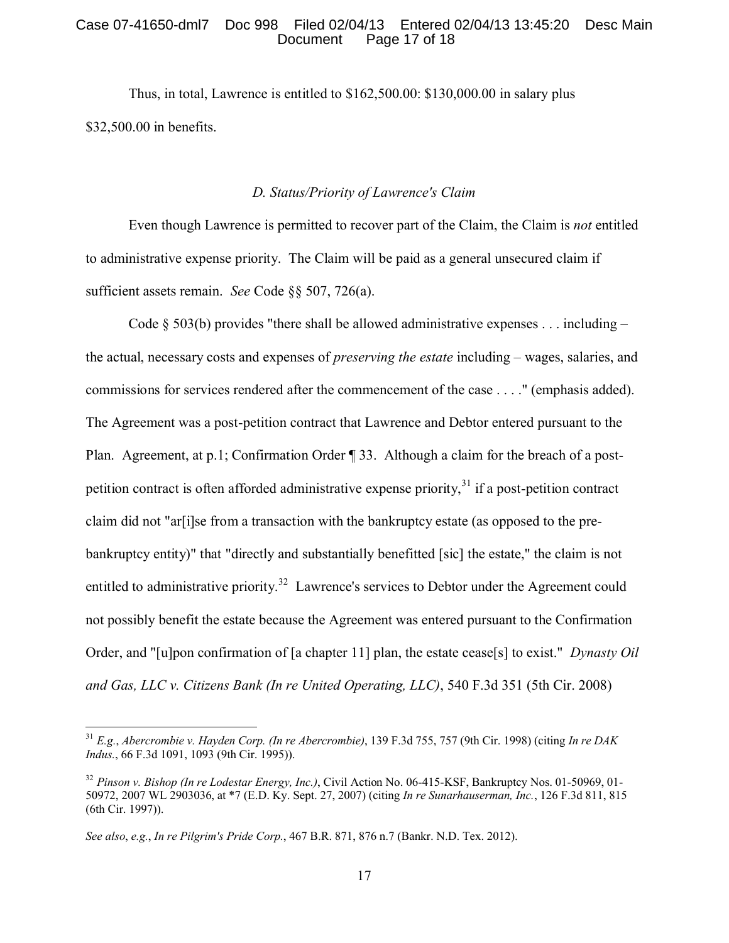### Case 07-41650-dml7 Doc 998 Filed 02/04/13 Entered 02/04/13 13:45:20 Desc Main Page 17 of 18

Thus, in total, Lawrence is entitled to \$162,500.00: \$130,000.00 in salary plus \$32,500.00 in benefits.

### *D. Status/Priority of Lawrence's Claim*

Even though Lawrence is permitted to recover part of the Claim, the Claim is *not* entitled to administrative expense priority. The Claim will be paid as a general unsecured claim if sufficient assets remain. *See* Code §§ 507, 726(a).

Code  $\S$  503(b) provides "there shall be allowed administrative expenses . . . including – the actual, necessary costs and expenses of *preserving the estate* including – wages, salaries, and commissions for services rendered after the commencement of the case . . . ." (emphasis added). The Agreement was a post-petition contract that Lawrence and Debtor entered pursuant to the Plan. Agreement, at p.1; Confirmation Order ¶ 33. Although a claim for the breach of a post-petition contract is often afforded administrative expense priority,<sup>[31](#page-16-0)</sup> if a post-petition contract claim did not "ar[i]se from a transaction with the bankruptcy estate (as opposed to the prebankruptcy entity)" that "directly and substantially benefitted [sic] the estate," the claim is not entitled to administrative priority.<sup>[32](#page-16-1)</sup> Lawrence's services to Debtor under the Agreement could not possibly benefit the estate because the Agreement was entered pursuant to the Confirmation Order, and "[u]pon confirmation of [a chapter 11] plan, the estate cease[s] to exist." *Dynasty Oil and Gas, LLC v. Citizens Bank (In re United Operating, LLC)*, 540 F.3d 351 (5th Cir. 2008)

<span id="page-16-0"></span><sup>31</sup> *E.g.*, *Abercrombie v. Hayden Corp. (In re Abercrombie)*, 139 F.3d 755, 757 (9th Cir. 1998) (citing *In re DAK Indus.*, 66 F.3d 1091, 1093 (9th Cir. 1995)).

<span id="page-16-1"></span><sup>32</sup> *Pinson v. Bishop (In re Lodestar Energy, Inc.)*, Civil Action No. 06-415-KSF, Bankruptcy Nos. 01-50969, 01- 50972, 2007 WL 2903036, at \*7 (E.D. Ky. Sept. 27, 2007) (citing *In re Sunarhauserman, Inc.*, 126 F.3d 811, 815 (6th Cir. 1997)).

*See also*, *e.g.*, *In re Pilgrim's Pride Corp.*, 467 B.R. 871, 876 n.7 (Bankr. N.D. Tex. 2012).